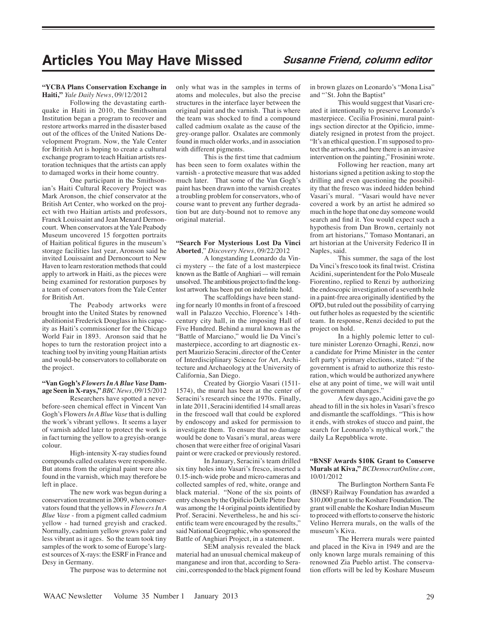# **Articles You May Have Missed Susanne Friend, column editor**

#### **"YCBA Plans Conservation Exchange in Haiti,"** *Yale Daily News*, 09/12/2012

Following the devastating earthquake in Haiti in 2010, the Smithsonian Institution began a program to recover and restore artworks marred in the disaster based out of the offices of the United Nations Development Program. Now, the Yale Center for British Art is hoping to create a cultural exchange program to teach Haitian artists restoration techniques that the artists can apply to damaged works in their home country.

One participant in the Smithsonian's Haiti Cultural Recovery Project was Mark Aronson, the chief conservator at the British Art Center, who worked on the project with two Haitian artists and professors, Franck Louissaint and Jean Menard Dernoncourt. When conservators at the Yale Peabody Museum uncovered 15 forgotten portraits of Haitian political figures in the museum's storage facilities last year, Aronson said he invited Louissaint and Dernoncourt to New Haven to learn restoration methods that could apply to artwork in Haiti, as the pieces were being examined for restoration purposes by a team of conservators from the Yale Center for British Art.

The Peabody artworks were brought into the United States by renowned abolitionist Frederick Douglass in his capacity as Haiti's commissioner for the Chicago World Fair in 1893. Aronson said that he hopes to turn the restoration project into a teaching tool by inviting young Haitian artists and would-be conservators to collaborate on the project.

#### **"Van Gogh's** *Flowers In A Blue Vase* **Damage Seen in X-rays,"** *BBC News*, 09/15/2012

Researchers have spotted a neverbefore-seen chemical effect in Vincent Van Gogh's Flowers *In A Blue Vase* that is dulling the work's vibrant yellows. It seems a layer of varnish added later to protect the work is in fact turning the yellow to a greyish-orange colour.

High-intensity X-ray studies found compounds called oxalates were responsible. But atoms from the original paint were also found in the varnish, which may therefore be left in place.

The new work was begun during a conservation treatment in 2009, when conservators found that the yellows in *Flowers In A Blue Vase* - from a pigment called cadmium yellow - had turned greyish and cracked. Normally, cadmium yellow grows paler and less vibrant as it ages. So the team took tiny samples of the work to some of Europe's largest sources of X-rays: the ESRF in France and Desy in Germany.

The purpose was to determine not

only what was in the samples in terms of atoms and molecules, but also the precise structures in the interface layer between the original paint and the varnish. That is where the team was shocked to find a compound called cadmium oxalate as the cause of the grey-orange pallor. Oxalates are commonly found in much older works, and in association with different pigments.

This is the first time that cadmium has been seen to form oxalates within the varnish - a protective measure that was added much later. That some of the Van Gogh's paint has been drawn into the varnish creates a troubling problem for conservators, who of course want to prevent any further degradation but are duty-bound not to remove any original material.

#### **"Search For Mysterious Lost Da Vinci Aborted**," *Discovery News*, 09/22/2012

A longstanding Leonardo da Vinci mystery -- the fate of a lost masterpiece known as the Battle of Anghiari –- will remain unsolved. The ambitious project to find the longlost artwork has been put on indefinite hold.

The scaffoldings have been standing for nearly 10 months in front of a frescoed wall in Palazzo Vecchio, Florence's 14thcentury city hall, in the imposing Hall of Five Hundred. Behind a mural known as the "Battle of Marciano," would lie Da Vinci's masterpiece, according to art diagnostic expert Maurizio Seracini, director of the Center of Interdisciplinary Science for Art, Architecture and Archaeology at the University of California, San Diego.

Created by Giorgio Vasari (1511- 1574), the mural has been at the center of Seracini's research since the 1970s. Finally, in late 2011, Seracini identified 14 small areas in the frescoed wall that could be explored by endoscopy and asked for permission to investigate them. To ensure that no damage would be done to Vasari's mural, areas were chosen that were either free of original Vasari paint or were cracked or previously restored.

In January, Seracini's team drilled six tiny holes into Vasari's fresco, inserted a 0.15-inch-wide probe and micro-cameras and collected samples of red, white, orange and black material. "None of the six points of entry chosen by the Opificio Delle Pietre Dure was among the 14 original points identified by Prof. Seracini. Nevertheless, he and his scientific team were encouraged by the results," said National Geographic, who sponsored the Battle of Anghiari Project, in a statement.

SEM analysis revealed the black material had an unusual chemical makeup of manganese and iron that, according to Seracini, corresponded to the black pigment found in brown glazes on Leonardo's "Mona Lisa" and "'St. John the Baptist"

This would suggest that Vasari created it intentionally to preserve Leonardo's masterpiece. Cecilia Frosinini, mural paintings section director at the Opificio, immediately resigned in protest from the project. "It's an ethical question. I'm supposed to protect the artworks, and here there is an invasive intervention on the painting," Frosinini wrote.

Following her reaction, many art historians signed a petition asking to stop the drilling and even questioning the possibility that the fresco was indeed hidden behind Vasari's mural. "Vasari would have never covered a work by an artist he admired so much in the hope that one day someone would search and find it. You would expect such a hypothesis from Dan Brown, certainly not from art historians," Tomaso Montanari, an art historian at the University Federico II in Naples, said.

This summer, the saga of the lost Da Vinci's fresco took its final twist. Cristina Acidini, superintendent for the Polo Museale Fiorentino, replied to Renzi by authorizing the endoscopic investigation of a seventh hole in a paint-free area originally identified by the OPD, but ruled out the possibility of carrying out futher holes as requested by the scientific team. In response, Renzi decided to put the project on hold.

In a highly polemic letter to culture minister Lorenzo Ornaghi, Renzi, now a candidate for Prime Minister in the center left party's primary elections, stated: "if the government is afraid to authorize this restoration, which would be authorized anywhere else at any point of time, we will wait until the government changes."

A few days ago, Acidini gave the go ahead to fill in the six holes in Vasari's fresco and dismantle the scaffoldings. "This is how it ends, with strokes of stucco and paint, the search for Leonardo's mythical work," the daily La Repubblica wrote.

#### **"BNSF Awards \$10K Grant to Conserve Murals at Kiva,"** *BCDemocratOnline.com*, 10/01/2012

The Burlington Northern Santa Fe (BNSF) Railway Foundation has awarded a \$10,000 grant to the Koshare Foundation. The grant will enable the Koshare Indian Museum to proceed with efforts to conserve the historic Velino Herrera murals, on the walls of the museum's Kiva.

The Herrera murals were painted and placed in the Kiva in 1949 and are the only known large murals remaining of this renowned Zia Pueblo artist. The conservation efforts will be led by Koshare Museum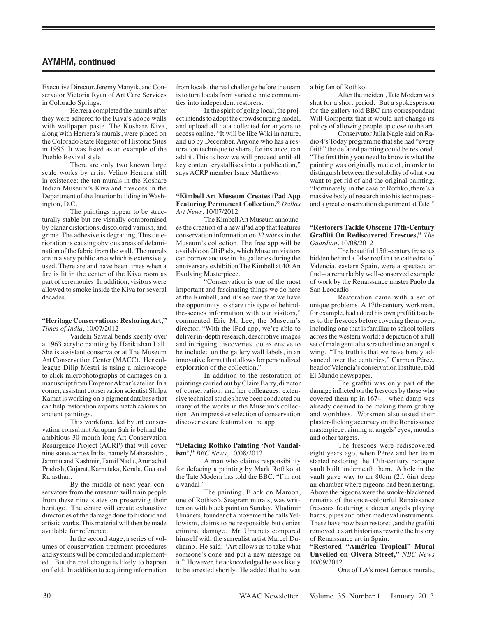# **AYMHM, continued**

Executive Director, Jeremy Manyik, and Conservator Victoria Ryan of Art Care Services in Colorado Springs.

Herrera completed the murals after they were adhered to the Kiva's adobe walls with wallpaper paste. The Koshare Kiva, along with Herrera's murals, were placed on the Colorado State Register of Historic Sites in 1995. It was listed as an example of the Pueblo Revival style.

There are only two known large scale works by artist Velino Herrera still in existence: the ten murals in the Koshare Indian Museum's Kiva and frescoes in the Department of the Interior building in Washington, D.C.

The paintings appear to be structurally stable but are visually compromised by planar distortions, discolored varnish, and grime. The adhesive is degrading. This deterioration is causing obvious areas of delamination of the fabric from the wall. The murals are in a very public area which is extensively used. There are and have been times when a fire is lit in the center of the Kiva room as part of ceremonies. In addition, visitors were allowed to smoke inside the Kiva for several decades.

#### **"Heritage Conservations: Restoring Art,"** *Times of India*, 10/07/2012

Vaidehi Savnal bends keenly over a 1963 acrylic painting by Harikishan Lall. She is assistant conservator at The Museum Art Conservation Center (MACC). Her colleague Dilip Mestri is using a microscope to click microphotographs of damages on a manuscript from Emperor Akbar's atelier. In a corner, assistant conservation scientist Shilpa Kamat is working on a pigment database that can help restoration experts match colours on ancient paintings.

This workforce led by art conservation consultant Anupam Sah is behind the ambitious 30-month-long Art Conservation Resurgence Project (ACRP) that will cover nine states across India, namely Maharashtra, Jammu and Kashmir, Tamil Nadu, Arunachal Pradesh, Gujarat, Karnataka, Kerala, Goa and Rajasthan.

By the middle of next year, conservators from the museum will train people from these nine states on preserving their heritage. The centre will create exhaustive directories of the damage done to historic and artistic works. This material will then be made available for reference.

In the second stage, a series of volumes of conservation treatment procedures and systems will be compiled and implemented. But the real change is likely to happen on field. In addition to acquiring information from locals, the real challenge before the team is to turn locals from varied ethnic communities into independent restorers.

In the spirit of going local, the project intends to adopt the crowdsourcing model, and upload all data collected for anyone to access online. "It will be like Wiki in nature, and up by December. Anyone who has a restoration technique to share, for instance, can add it. This is how we will proceed until all key content crystallises into a publication," says ACRP member Isaac Matthews.

#### **"Kimbell Art Museum Creates iPad App Featuring Permanent Collection,"** *Dallas Art News,* 10/07/2012

The Kimbell Art Museum announces the creation of a new iPad app that features conservation information on 32 works in the Museum's collection. The free app will be available on 20 iPads, which Museum visitors can borrow and use in the galleries during the anniversary exhibition The Kimbell at 40: An Evolving Masterpiece.

"Conservation is one of the most important and fascinating things we do here at the Kimbell, and it's so rare that we have the opportunity to share this type of behindthe-scenes information with our visitors," commented Eric M. Lee, the Museum's director. "With the iPad app, we're able to deliver in-depth research, descriptive images and intriguing discoveries too extensive to be included on the gallery wall labels, in an innovative format that allows for personalized exploration of the collection."

In addition to the restoration of paintings carried out by Claire Barry, director of conservation, and her colleagues, extensive technical studies have been conducted on many of the works in the Museum's collection. An impressive selection of conservation discoveries are featured on the app.

### **"Defacing Rothko Painting 'Not Vandalism',"** *BBC News*, 10/08/2012

A man who claims responsibility for defacing a painting by Mark Rothko at the Tate Modern has told the BBC: "I'm not a vandal."

The painting, Black on Maroon, one of Rothko's Seagram murals, was written on with black paint on Sunday. Vladimir Umanets, founder of a movement he calls Yellowism, claims to be responsible but denies criminal damage. Mr. Umanets compared himself with the surrealist artist Marcel Duchamp. He said: "Art allows us to take what someone's done and put a new message on it." However, he acknowledged he was likely to be arrested shortly. He added that he was a big fan of Rothko.

After the incident, Tate Modern was shut for a short period. But a spokesperson for the gallery told BBC arts correspondent Will Gompertz that it would not change its policy of allowing people up close to the art.

Conservator Julia Nagle said on Radio 4's Today programme that she had "every faith" the defaced painting could be restored. "The first thing you need to know is what the painting was originally made of, in order to distinguish between the solubility of what you want to get rid of and the original painting. "Fortunately, in the case of Rothko, there's a massive body of research into his techniques and a great conservation department at Tate."

## **"Restorers Tackle Obscene 17th-Century Graffiti On Rediscovered Frescoes,"** *The Guardian*, 10/08/2012

The beautiful 15th-century frescoes hidden behind a false roof in the cathedral of Valencia, eastern Spain, were a spectacular find – a remarkably well-conserved example of work by the Renaissance master Paolo da San Leocadio.

Restoration came with a set of unique problems. A 17th-century workman, for example, had added his own graffiti touches to the frescoes before covering them over, including one that is familiar to school toilets across the western world: a depiction of a full set of male genitalia scratched into an angel's wing. "The truth is that we have barely advanced over the centuries," Carmen Pérez, head of Valencia's conservation institute, told El Mundo newspaper.

The graffiti was only part of the damage inflicted on the frescoes by those who covered them up in 1674 – when damp was already deemed to be making them grubby and worthless. Workmen also tested their plaster-flicking accuracy on the Renaissance masterpiece, aiming at angels' eyes, mouths and other targets.

The frescoes were rediscovered eight years ago, when Pérez and her team started restoring the 17th-century baroque vault built underneath them. A hole in the vault gave way to an 80cm (2ft 6in) deep air chamber where pigeons had been nesting. Above the pigeons were the smoke-blackened remains of the once-colourful Renaissance frescoes featuring a dozen angels playing harps, pipes and other medieval instruments. These have now been restored, and the graffiti removed, as art historians rewrite the history of Renaissance art in Spain.

**"Restored "América Tropical" Mural Unveiled on Olvera Street,"** *NBC News* 10/09/2012

One of LA's most famous murals,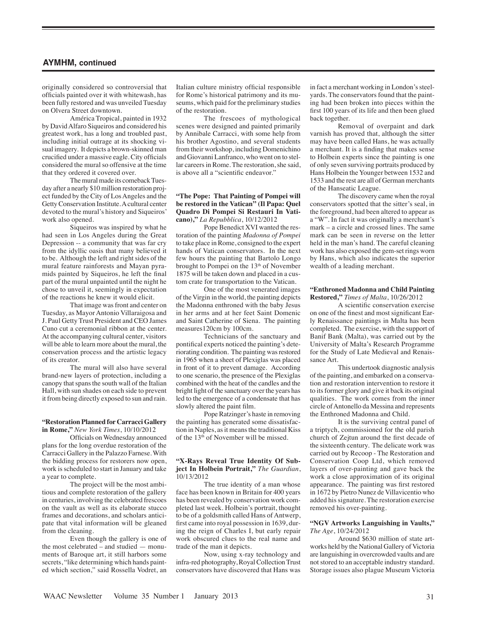# **AYMHM, continued**

originally considered so controversial that officials painted over it with whitewash, has been fully restored and was unveiled Tuesday on Olvera Street downtown.

América Tropical, painted in 1932 by David Alfaro Siqueiros and considered his greatest work, has a long and troubled past, including initial outrage at its shocking visual imagery. It depicts a brown-skinned man crucified under a massive eagle. City officials considered the mural so offensive at the time that they ordered it covered over.

The mural made its comeback Tuesday after a nearly \$10 million restoration project funded by the City of Los Angeles and the Getty Conservation Institute. A cultural center devoted to the mural's history and Siqueiros' work also opened.

Siqueiros was inspired by what he had seen in Los Angeles during the Great Depression -- a community that was far cry from the idyllic oasis that many believed it to be. Although the left and right sides of the mural feature rainforests and Mayan pyramids painted by Siqueiros, he left the final part of the mural unpainted until the night he chose to unveil it, seemingly in expectation of the reactions he knew it would elicit.

That image was front and center on Tuesday, as Mayor Antonio Villaraigosa and J. Paul Getty Trust President and CEO James Cuno cut a ceremonial ribbon at the center. At the accompanying cultural center, visitors will be able to learn more about the mural, the conservation process and the artistic legacy of its creator.

The mural will also have several brand-new layers of protection, including a canopy that spans the south wall of the Italian Hall, with sun shades on each side to prevent it from being directly exposed to sun and rain.

#### **"Restoration Planned for Carracci Gallery in Rome,"** *New York Times*, 10/10/2012

Officials on Wednesday announced plans for the long overdue restoration of the Carracci Gallery in the Palazzo Farnese. With the bidding process for restorers now open, work is scheduled to start in January and take a year to complete.

The project will be the most ambitious and complete restoration of the gallery in centuries, involving the celebrated frescoes on the vault as well as its elaborate stucco frames and decorations, and scholars anticipate that vital information will be gleaned from the cleaning.

Even though the gallery is one of the most celebrated – and studied — monuments of Baroque art, it still harbors some secrets, "like determining which hands painted which section," said Rossella Vodret, an

Italian culture ministry official responsible for Rome's historical patrimony and its museums, which paid for the preliminary studies of the restoration.

The frescoes of mythological scenes were designed and painted primarily by Annibale Carracci, with some help from his brother Agostino, and several students from their workshop, including Domenichino and Giovanni Lanfranco, who went on to stellar careers in Rome. The restoration, she said, is above all a "scientific endeavor."

#### **"The Pope: That Painting of Pompei will be restored in the Vatican" (Il Papa: Quel Quadro Di Pompei Si Restauri In Vaticano),"** *La Repubblica*, 10/12/2012

Pope Benedict XVI wanted the restoration of the painting *Madonna of Pompei* to take place in Rome, consigned to the expert hands of Vatican conservators. In the next few hours the painting that Bartolo Longo brought to Pompei on the 13<sup>th</sup> of November 1875 will be taken down and placed in a custom crate for transportation to the Vatican.

One of the most venerated images of the Virgin in the world, the painting depicts the Madonna enthroned with the baby Jesus in her arms and at her feet Saint Domenic and Saint Catherine of Siena. The painting measures120cm by 100cm.

Technicians of the sanctuary and pontifical experts noticed the painting's deteriorating condition. The painting was restored in 1965 when a sheet of Plexiglas was placed in front of it to prevent damage. According to one scenario, the presence of the Plexiglas combined with the heat of the candles and the bright light of the sanctuary over the years has led to the emergence of a condensate that has slowly altered the paint film.

Pope Ratzinger's haste in removing the painting has generated some dissatisfaction in Naples, as it means the traditional Kiss of the 13<sup>th</sup> of November will be missed.

#### **"X-Rays Reveal True Identity Of Subject In Holbein Portrait,"** *The Guardian*, 10/13/2012

The true identity of a man whose face has been known in Britain for 400 years has been revealed by conservation work completed last week. Holbein's portrait, thought to be of a goldsmith called Hans of Antwerp, first came into royal possession in 1639, during the reign of Charles I, but early repair work obscured clues to the real name and trade of the man it depicts.

Now, using x-ray technology and infra-red photography, Royal Collection Trust conservators have discovered that Hans was in fact a merchant working in London's steelyards. The conservators found that the painting had been broken into pieces within the first 100 years of its life and then been glued back together.

Removal of overpaint and dark varnish has proved that, although the sitter may have been called Hans, he was actually a merchant. It is a finding that makes sense to Holbein experts since the painting is one of only seven surviving portraits produced by Hans Holbein the Younger between 1532 and 1533 and the rest are all of German merchants of the Hanseatic League.

The discovery came when the royal conservators spotted that the sitter's seal, in the foreground, had been altered to appear as a "W". In fact it was originally a merchant's mark – a circle and crossed lines. The same mark can be seen in reverse on the letter held in the man's hand. The careful cleaning work has also exposed the gem-set rings worn by Hans, which also indicates the superior wealth of a leading merchant.

#### **"Enthroned Madonna and Child Painting Restored,"** *Times of Malta*, 10/26/2012

A scientific conservation exercise on one of the finest and most significant Early Renaissance paintings in Malta has been completed. The exercise, with the support of Banif Bank (Malta), was carried out by the University of Malta's Research Programme for the Study of Late Medieval and Renaissance Art.

This undertook diagnostic analysis of the painting, and embarked on a conservation and restoration intervention to restore it to its former glory and give it back its original qualities. The work comes from the inner circle of Antonello da Messina and represents the Enthroned Madonna and Child.

It is the surviving central panel of a triptych, commissioned for the old parish church of Zejtun around the first decade of the sixteenth century. The delicate work was carried out by Recoop - The Restoration and Conservation Coop Ltd, which removed layers of over-painting and gave back the work a close approximation of its original appearance. The painting was first restored in 1672 by Pietro Nunez de Villavicentio who added his signature. The restoration exercise removed his over-painting.

#### **"NGV Artworks Languishing in Vaults,"** *The Age*, 10/24/2012

Around \$630 million of state artworks held by the National Gallery of Victoria are languishing in overcrowded vaults and are not stored to an acceptable industry standard. Storage issues also plague Museum Victoria